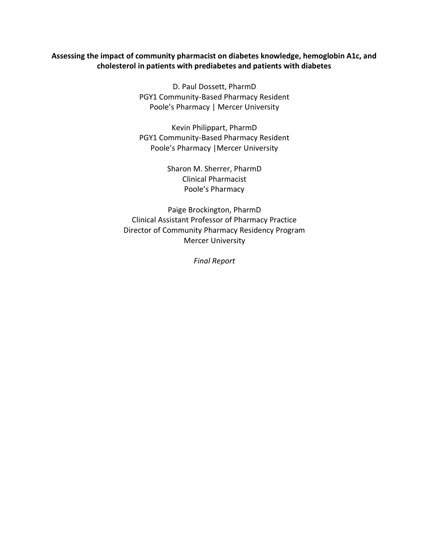#### **Assessing the impact of community pharmacist on diabetes knowledge, hemoglobin A1c, and cholesterol in patients with prediabetes and patients with diabetes**

D. Paul Dossett, PharmD PGY1 Community-Based Pharmacy Resident Poole's Pharmacy | Mercer University

Kevin Philippart, PharmD PGY1 Community-Based Pharmacy Resident Poole's Pharmacy |Mercer University

> Sharon M. Sherrer, PharmD Clinical Pharmacist Poole's Pharmacy

Paige Brockington, PharmD Clinical Assistant Professor of Pharmacy Practice Director of Community Pharmacy Residency Program Mercer University

*Final Report*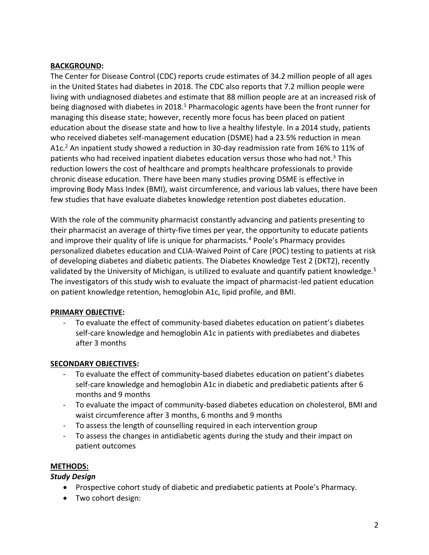### **BACKGROUND:**

The Center for Disease Control (CDC) reports crude estimates of 34.2 million people of all ages in the United States had diabetes in 2018. The CDC also reports that 7.2 million people were living with undiagnosed diabetes and estimate that 88 million people are at an increased risk of being diagnosed with diabetes in 2018.<sup>1</sup> Pharmacologic agents have been the front runner for managing this disease state; however, recently more focus has been placed on patient education about the disease state and how to live a healthy lifestyle. In a 2014 study, patients who received diabetes self-management education (DSME) had a 23.5% reduction in mean A1c.<sup>2</sup> An inpatient study showed a reduction in 30-day readmission rate from 16% to 11% of patients who had received inpatient diabetes education versus those who had not.<sup>3</sup> This reduction lowers the cost of healthcare and prompts healthcare professionals to provide chronic disease education. There have been many studies proving DSME is effective in improving Body Mass Index (BMI), waist circumference, and various lab values, there have been few studies that have evaluate diabetes knowledge retention post diabetes education.

With the role of the community pharmacist constantly advancing and patients presenting to their pharmacist an average of thirty-five times per year, the opportunity to educate patients and improve their quality of life is unique for pharmacists.<sup>4</sup> Poole's Pharmacy provides personalized diabetes education and CLIA-Waived Point of Care (POC) testing to patients at risk of developing diabetes and diabetic patients. The Diabetes Knowledge Test 2 (DKT2), recently validated by the University of Michigan, is utilized to evaluate and quantify patient knowledge.<sup>5</sup> The investigators of this study wish to evaluate the impact of pharmacist-led patient education on patient knowledge retention, hemoglobin A1c, lipid profile, and BMI.

## **PRIMARY OBJECTIVE:**

To evaluate the effect of community-based diabetes education on patient's diabetes self-care knowledge and hemoglobin A1c in patients with prediabetes and diabetes after 3 months

## **SECONDARY OBJECTIVES:**

- To evaluate the effect of community-based diabetes education on patient's diabetes self-care knowledge and hemoglobin A1c in diabetic and prediabetic patients after 6 months and 9 months
- To evaluate the impact of community-based diabetes education on cholesterol, BMI and waist circumference after 3 months, 6 months and 9 months
- To assess the length of counselling required in each intervention group
- To assess the changes in antidiabetic agents during the study and their impact on patient outcomes

## **METHODS:**

## *Study Design*

- Prospective cohort study of diabetic and prediabetic patients at Poole's Pharmacy.
- Two cohort design: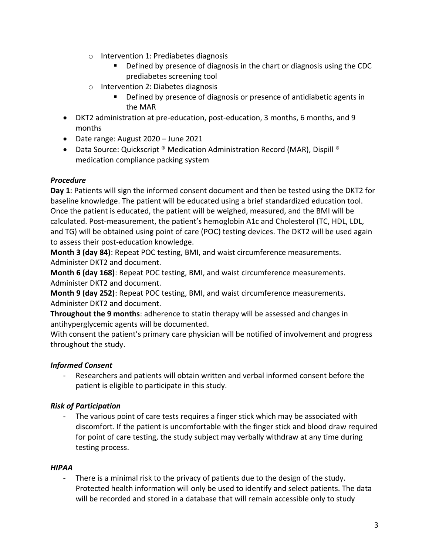- o Intervention 1: Prediabetes diagnosis
	- Defined by presence of diagnosis in the chart or diagnosis using the CDC prediabetes screening tool
- o Intervention 2: Diabetes diagnosis
	- Defined by presence of diagnosis or presence of antidiabetic agents in the MAR
- DKT2 administration at pre-education, post-education, 3 months, 6 months, and 9 months
- Date range: August 2020 June 2021
- Data Source: Quickscript ® Medication Administration Record (MAR), Dispill ® medication compliance packing system

# *Procedure*

**Day 1**: Patients will sign the informed consent document and then be tested using the DKT2 for baseline knowledge. The patient will be educated using a brief standardized education tool. Once the patient is educated, the patient will be weighed, measured, and the BMI will be calculated. Post-measurement, the patient's hemoglobin A1c and Cholesterol (TC, HDL, LDL, and TG) will be obtained using point of care (POC) testing devices. The DKT2 will be used again to assess their post-education knowledge.

**Month 3 (day 84)**: Repeat POC testing, BMI, and waist circumference measurements. Administer DKT2 and document.

**Month 6 (day 168)**: Repeat POC testing, BMI, and waist circumference measurements. Administer DKT2 and document.

**Month 9 (day 252)**: Repeat POC testing, BMI, and waist circumference measurements. Administer DKT2 and document.

**Throughout the 9 months**: adherence to statin therapy will be assessed and changes in antihyperglycemic agents will be documented.

With consent the patient's primary care physician will be notified of involvement and progress throughout the study.

# *Informed Consent*

Researchers and patients will obtain written and verbal informed consent before the patient is eligible to participate in this study.

# *Risk of Participation*

The various point of care tests requires a finger stick which may be associated with discomfort. If the patient is uncomfortable with the finger stick and blood draw required for point of care testing, the study subject may verbally withdraw at any time during testing process.

## *HIPAA*

There is a minimal risk to the privacy of patients due to the design of the study. Protected health information will only be used to identify and select patients. The data will be recorded and stored in a database that will remain accessible only to study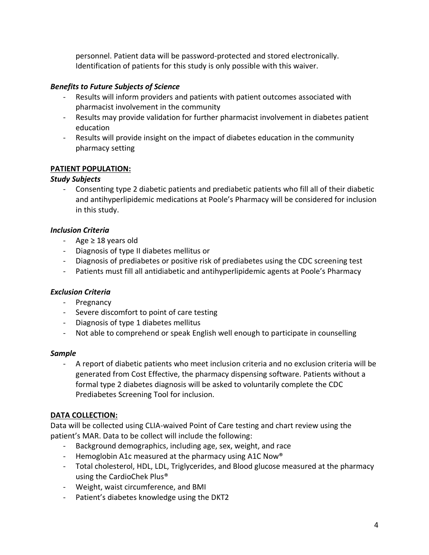personnel. Patient data will be password-protected and stored electronically. Identification of patients for this study is only possible with this waiver.

## *Benefits to Future Subjects of Science*

- Results will inform providers and patients with patient outcomes associated with pharmacist involvement in the community
- Results may provide validation for further pharmacist involvement in diabetes patient education
- Results will provide insight on the impact of diabetes education in the community pharmacy setting

## **PATIENT POPULATION:**

## *Study Subjects*

- Consenting type 2 diabetic patients and prediabetic patients who fill all of their diabetic and antihyperlipidemic medications at Poole's Pharmacy will be considered for inclusion in this study.

## *Inclusion Criteria*

- Age ≥ 18 years old
- Diagnosis of type II diabetes mellitus or
- Diagnosis of prediabetes or positive risk of prediabetes using the CDC screening test
- Patients must fill all antidiabetic and antihyperlipidemic agents at Poole's Pharmacy

## *Exclusion Criteria*

- Pregnancy
- Severe discomfort to point of care testing
- Diagnosis of type 1 diabetes mellitus
- Not able to comprehend or speak English well enough to participate in counselling

## *Sample*

- A report of diabetic patients who meet inclusion criteria and no exclusion criteria will be generated from Cost Effective, the pharmacy dispensing software. Patients without a formal type 2 diabetes diagnosis will be asked to voluntarily complete the CDC Prediabetes Screening Tool for inclusion.

## **DATA COLLECTION:**

Data will be collected using CLIA-waived Point of Care testing and chart review using the patient's MAR. Data to be collect will include the following:

- Background demographics, including age, sex, weight, and race
- Hemoglobin A1c measured at the pharmacy using A1C Now<sup>®</sup>
- Total cholesterol, HDL, LDL, Triglycerides, and Blood glucose measured at the pharmacy using the CardioChek Plus®
- Weight, waist circumference, and BMI
- Patient's diabetes knowledge using the DKT2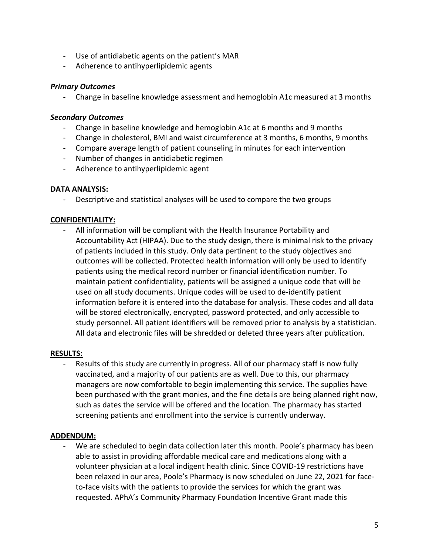- Use of antidiabetic agents on the patient's MAR
- Adherence to antihyperlipidemic agents

#### *Primary Outcomes*

- Change in baseline knowledge assessment and hemoglobin A1c measured at 3 months

#### *Secondary Outcomes*

- Change in baseline knowledge and hemoglobin A1c at 6 months and 9 months
- Change in cholesterol, BMI and waist circumference at 3 months, 6 months, 9 months
- Compare average length of patient counseling in minutes for each intervention
- Number of changes in antidiabetic regimen
- Adherence to antihyperlipidemic agent

### **DATA ANALYSIS:**

- Descriptive and statistical analyses will be used to compare the two groups

### **CONFIDENTIALITY:**

- All information will be compliant with the Health Insurance Portability and Accountability Act (HIPAA). Due to the study design, there is minimal risk to the privacy of patients included in this study. Only data pertinent to the study objectives and outcomes will be collected. Protected health information will only be used to identify patients using the medical record number or financial identification number. To maintain patient confidentiality, patients will be assigned a unique code that will be used on all study documents. Unique codes will be used to de-identify patient information before it is entered into the database for analysis. These codes and all data will be stored electronically, encrypted, password protected, and only accessible to study personnel. All patient identifiers will be removed prior to analysis by a statistician. All data and electronic files will be shredded or deleted three years after publication.

#### **RESULTS:**

- Results of this study are currently in progress. All of our pharmacy staff is now fully vaccinated, and a majority of our patients are as well. Due to this, our pharmacy managers are now comfortable to begin implementing this service. The supplies have been purchased with the grant monies, and the fine details are being planned right now, such as dates the service will be offered and the location. The pharmacy has started screening patients and enrollment into the service is currently underway.

## **ADDENDUM:**

We are scheduled to begin data collection later this month. Poole's pharmacy has been able to assist in providing affordable medical care and medications along with a volunteer physician at a local indigent health clinic. Since COVID-19 restrictions have been relaxed in our area, Poole's Pharmacy is now scheduled on June 22, 2021 for faceto-face visits with the patients to provide the services for which the grant was requested. APhA's Community Pharmacy Foundation Incentive Grant made this